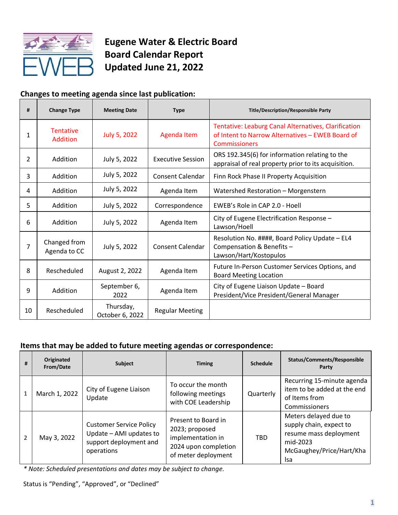

# **Eugene Water & Electric Board Board Calendar Report Updated June 21, 2022**

## **Changes to meeting agenda since last publication:**

| #  | <b>Change Type</b>                  | <b>Meeting Date</b>          | <b>Type</b>              | <b>Title/Description/Responsible Party</b>                                                                                |
|----|-------------------------------------|------------------------------|--------------------------|---------------------------------------------------------------------------------------------------------------------------|
| 1  | <b>Tentative</b><br><b>Addition</b> | <b>July 5, 2022</b>          | <b>Agenda Item</b>       | Tentative: Leaburg Canal Alternatives, Clarification<br>of Intent to Narrow Alternatives - EWEB Board of<br>Commissioners |
| 2  | Addition                            | July 5, 2022                 | <b>Executive Session</b> | ORS 192.345(6) for information relating to the<br>appraisal of real property prior to its acquisition.                    |
| 3  | Addition                            | July 5, 2022                 | Consent Calendar         | Finn Rock Phase II Property Acquisition                                                                                   |
| 4  | Addition                            | July 5, 2022                 | Agenda Item              | Watershed Restoration - Morgenstern                                                                                       |
| 5  | Addition                            | July 5, 2022                 | Correspondence           | EWEB's Role in CAP 2.0 - Hoell                                                                                            |
| 6  | Addition                            | July 5, 2022                 | Agenda Item              | City of Eugene Electrification Response -<br>Lawson/Hoell                                                                 |
| 7  | Changed from<br>Agenda to CC        | July 5, 2022                 | <b>Consent Calendar</b>  | Resolution No. ####, Board Policy Update - EL4<br>Compensation & Benefits -<br>Lawson/Hart/Kostopulos                     |
| 8  | Rescheduled                         | August 2, 2022               | Agenda Item              | Future In-Person Customer Services Options, and<br><b>Board Meeting Location</b>                                          |
| 9  | Addition                            | September 6,<br>2022         | Agenda Item              | City of Eugene Liaison Update - Board<br>President/Vice President/General Manager                                         |
| 10 | Rescheduled                         | Thursday,<br>October 6, 2022 | <b>Regular Meeting</b>   |                                                                                                                           |

### **Items that may be added to future meeting agendas or correspondence:**

| # | Originated<br>From/Date | <b>Subject</b>                                                                                    | <b>Timing</b>                                                                                             | <b>Schedule</b> | <b>Status/Comments/Responsible</b><br>Party                                                                               |
|---|-------------------------|---------------------------------------------------------------------------------------------------|-----------------------------------------------------------------------------------------------------------|-----------------|---------------------------------------------------------------------------------------------------------------------------|
| 1 | March 1, 2022           | City of Eugene Liaison<br>Update                                                                  | To occur the month<br>following meetings<br>with COE Leadership                                           | Quarterly       | Recurring 15-minute agenda<br>item to be added at the end<br>of Items from<br>Commissioners                               |
|   | May 3, 2022             | <b>Customer Service Policy</b><br>Update - AMI updates to<br>support deployment and<br>operations | Present to Board in<br>2023; proposed<br>implementation in<br>2024 upon completion<br>of meter deployment | <b>TBD</b>      | Meters delayed due to<br>supply chain, expect to<br>resume mass deployment<br>mid-2023<br>McGaughey/Price/Hart/Kha<br>lsa |

*\* Note: Scheduled presentations and dates may be subject to change.*

Status is "Pending", "Approved", or "Declined"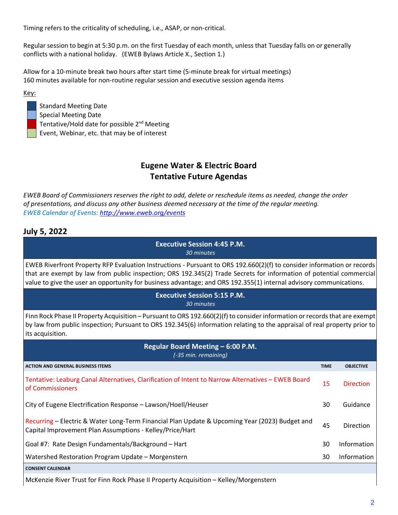Timing refers to the criticality of scheduling, i.e., ASAP, or non-critical.

Regular session to begin at 5:30 p.m. on the first Tuesday of each month, unless that Tuesday falls on or generally conflicts with a national holiday. (EWEB Bylaws Article X., Section 1.)

Allow for a 10-minute break two hours after start time (5-minute break for virtual meetings) 160 minutes available for non-routine regular session and executive session agenda items

Key:

Standard Meeting Date Special Meeting Date Tentative/Hold date for possible 2nd Meeting Event, Webinar, etc. that may be of interest

### **Eugene Water & Electric Board Tentative Future Agendas**

*EWEB Board of Commissioners reserves the right to add, delete or reschedule items as needed, change the order of presentations, and discuss any other business deemed necessary at the time of the regular meeting. EWEB Calendar of Events[: http://www.eweb.org/events](http://www.eweb.org/events)*

### **July 5, 2022**

| <b>Executive Session 4:45 P.M.</b><br>30 minutes                                                                                                                                                                                                                                                                                                                     |             |                  |  |  |
|----------------------------------------------------------------------------------------------------------------------------------------------------------------------------------------------------------------------------------------------------------------------------------------------------------------------------------------------------------------------|-------------|------------------|--|--|
| EWEB Riverfront Property RFP Evaluation Instructions - Pursuant to ORS 192.660(2)(f) to consider information or records<br>that are exempt by law from public inspection; ORS 192.345(2) Trade Secrets for information of potential commercial<br>value to give the user an opportunity for business advantage; and ORS 192.355(1) internal advisory communications. |             |                  |  |  |
| <b>Executive Session 5:15 P.M.</b><br>30 minutes                                                                                                                                                                                                                                                                                                                     |             |                  |  |  |
| Finn Rock Phase II Property Acquisition - Pursuant to ORS 192.660(2)(f) to consider information or records that are exempt<br>by law from public inspection; Pursuant to ORS 192.345(6) information relating to the appraisal of real property prior to<br>its acquisition.                                                                                          |             |                  |  |  |
| Regular Board Meeting - 6:00 P.M.<br>(-35 min. remaining)                                                                                                                                                                                                                                                                                                            |             |                  |  |  |
| <b>ACTION AND GENERAL BUSINESS ITEMS</b>                                                                                                                                                                                                                                                                                                                             | <b>TIME</b> | <b>OBJECTIVE</b> |  |  |
| Tentative: Leaburg Canal Alternatives, Clarification of Intent to Narrow Alternatives - EWEB Board<br>of Commissioners                                                                                                                                                                                                                                               | 15          | <b>Direction</b> |  |  |
| City of Eugene Electrification Response - Lawson/Hoell/Heuser                                                                                                                                                                                                                                                                                                        | 30          | Guidance         |  |  |
| Recurring - Electric & Water Long-Term Financial Plan Update & Upcoming Year (2023) Budget and<br>Capital Improvement Plan Assumptions - Kelley/Price/Hart                                                                                                                                                                                                           | 45          | Direction        |  |  |
| Goal #7: Rate Design Fundamentals/Background - Hart                                                                                                                                                                                                                                                                                                                  | 30          | Information      |  |  |
| Watershed Restoration Program Update - Morgenstern                                                                                                                                                                                                                                                                                                                   | 30          | Information      |  |  |
| <b>CONSENT CALENDAR</b>                                                                                                                                                                                                                                                                                                                                              |             |                  |  |  |

McKenzie River Trust for Finn Rock Phase II Property Acquisition – Kelley/Morgenstern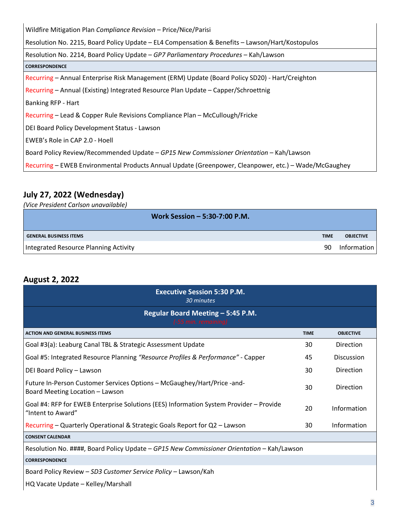| Wildfire Mitigation Plan Compliance Revision - Price/Nice/Parisi                                      |
|-------------------------------------------------------------------------------------------------------|
| Resolution No. 2215, Board Policy Update - EL4 Compensation & Benefits - Lawson/Hart/Kostopulos       |
| Resolution No. 2214, Board Policy Update - GP7 Parliamentary Procedures - Kah/Lawson                  |
| <b>CORRESPONDENCE</b>                                                                                 |
| Recurring – Annual Enterprise Risk Management (ERM) Update (Board Policy SD20) - Hart/Creighton       |
| Recurring - Annual (Existing) Integrated Resource Plan Update - Capper/Schroettnig                    |
| <b>Banking RFP - Hart</b>                                                                             |
| Recurring – Lead & Copper Rule Revisions Compliance Plan – McCullough/Fricke                          |
| DEI Board Policy Development Status - Lawson                                                          |
| EWEB's Role in CAP 2.0 - Hoell                                                                        |
| Board Policy Review/Recommended Update - GP15 New Commissioner Orientation - Kah/Lawson               |
| Recurring - EWEB Environmental Products Annual Update (Greenpower, Cleanpower, etc.) - Wade/McGaughey |

## **July 27, 2022 (Wednesday)**

*(Vice President Carlson unavailable)*

| Work Session - 5:30-7:00 P.M.         |             |                  |
|---------------------------------------|-------------|------------------|
| <b>GENERAL BUSINESS ITEMS</b>         | <b>TIME</b> | <b>OBJECTIVE</b> |
| Integrated Resource Planning Activity | 90          | Information      |

## **August 2, 2022**

| <b>Executive Session 5:30 P.M.</b><br>30 minutes                                                            |             |                   |  |  |  |
|-------------------------------------------------------------------------------------------------------------|-------------|-------------------|--|--|--|
| Regular Board Meeting - 5:45 P.M.<br>(-55 min. remaining)                                                   |             |                   |  |  |  |
| <b>ACTION AND GENERAL BUSINESS ITEMS</b>                                                                    | <b>TIME</b> | <b>OBJECTIVE</b>  |  |  |  |
| Goal #3(a): Leaburg Canal TBL & Strategic Assessment Update                                                 | 30          | Direction         |  |  |  |
| Goal #5: Integrated Resource Planning "Resource Profiles & Performance" - Capper                            | 45          | <b>Discussion</b> |  |  |  |
| DEI Board Policy - Lawson                                                                                   | 30          | Direction         |  |  |  |
| Future In-Person Customer Services Options - McGaughey/Hart/Price -and-<br>Board Meeting Location - Lawson  | 30          | <b>Direction</b>  |  |  |  |
| Goal #4: RFP for EWEB Enterprise Solutions (EES) Information System Provider - Provide<br>"Intent to Award" | 20          | Information       |  |  |  |
| Recurring - Quarterly Operational & Strategic Goals Report for Q2 - Lawson                                  | 30          | Information       |  |  |  |
| <b>CONSENT CALENDAR</b>                                                                                     |             |                   |  |  |  |
| Resolution No. ####, Board Policy Update - GP15 New Commissioner Orientation - Kah/Lawson                   |             |                   |  |  |  |
| <b>CORRESPONDENCE</b>                                                                                       |             |                   |  |  |  |
| Board Policy Review - SD3 Customer Service Policy - Lawson/Kah                                              |             |                   |  |  |  |

HQ Vacate Update – Kelley/Marshall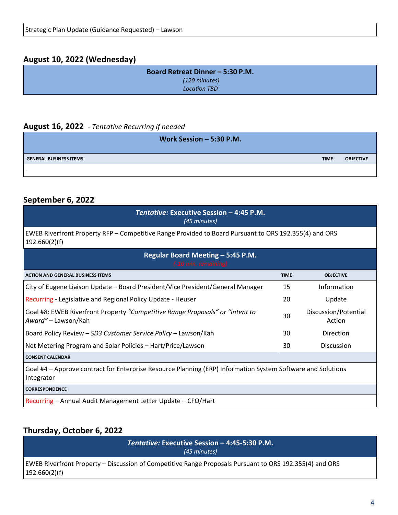### **August 10, 2022 (Wednesday)**

| Board Retreat Dinner - 5:30 P.M. |
|----------------------------------|
| (120 minutes)                    |
| <b>Location TBD</b>              |
|                                  |

#### **August 16, 2022** *- Tentative Recurring if needed*

| Work Session $-5:30$ P.M.     |             |                  |
|-------------------------------|-------------|------------------|
| <b>GENERAL BUSINESS ITEMS</b> | <b>TIME</b> | <b>OBJECTIVE</b> |
| . .                           |             |                  |

#### **September 6, 2022**

| Tentative: Executive Session - 4:45 P.M.<br>(45 minutes)                                                                  |             |                                |  |  |  |
|---------------------------------------------------------------------------------------------------------------------------|-------------|--------------------------------|--|--|--|
| EWEB Riverfront Property RFP – Competitive Range Provided to Board Pursuant to ORS 192.355(4) and ORS<br>192.660(2)(f)    |             |                                |  |  |  |
| Regular Board Meeting - 5:45 P.M.<br>(-10 min. remaining)                                                                 |             |                                |  |  |  |
| <b>ACTION AND GENERAL BUSINESS ITEMS</b>                                                                                  | <b>TIME</b> | <b>OBJECTIVE</b>               |  |  |  |
| City of Eugene Liaison Update - Board President/Vice President/General Manager                                            | 15          | Information                    |  |  |  |
| Recurring - Legislative and Regional Policy Update - Heuser                                                               | 20          | Update                         |  |  |  |
| Goal #8: EWEB Riverfront Property "Competitive Range Proposals" or "Intent to<br>Award" - Lawson/Kah                      | 30          | Discussion/Potential<br>Action |  |  |  |
| Board Policy Review - SD3 Customer Service Policy - Lawson/Kah                                                            | 30          | Direction                      |  |  |  |
| Net Metering Program and Solar Policies - Hart/Price/Lawson                                                               | 30          | <b>Discussion</b>              |  |  |  |
| <b>CONSENT CALENDAR</b>                                                                                                   |             |                                |  |  |  |
| Goal #4 – Approve contract for Enterprise Resource Planning (ERP) Information System Software and Solutions<br>Integrator |             |                                |  |  |  |
| <b>CORRESPONDENCE</b>                                                                                                     |             |                                |  |  |  |
| Recurring - Annual Audit Management Letter Update - CFO/Hart                                                              |             |                                |  |  |  |

## **Thursday, October 6, 2022**

*Tentative:* **Executive Session – 4:45-5:30 P.M.**  *(45 minutes)*

EWEB Riverfront Property – Discussion of Competitive Range Proposals Pursuant to ORS 192.355(4) and ORS 192.660(2)(f)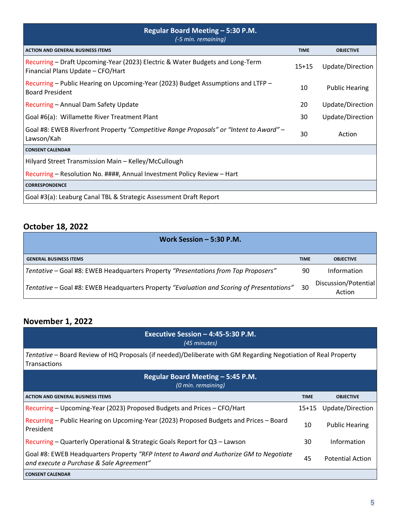| Regular Board Meeting – 5:30 P.M.<br>(-5 min. remaining)                                                           |             |                       |  |  |  |
|--------------------------------------------------------------------------------------------------------------------|-------------|-----------------------|--|--|--|
| <b>ACTION AND GENERAL BUSINESS ITEMS</b>                                                                           | <b>TIME</b> | <b>OBJECTIVE</b>      |  |  |  |
| Recurring – Draft Upcoming-Year (2023) Electric & Water Budgets and Long-Term<br>Financial Plans Update - CFO/Hart | $15 + 15$   | Update/Direction      |  |  |  |
| Recurring – Public Hearing on Upcoming-Year (2023) Budget Assumptions and LTFP –<br><b>Board President</b>         | 10          | <b>Public Hearing</b> |  |  |  |
| Recurring - Annual Dam Safety Update                                                                               | 20          | Update/Direction      |  |  |  |
| Goal #6(a): Willamette River Treatment Plant                                                                       | 30          | Update/Direction      |  |  |  |
| Goal #8: EWEB Riverfront Property "Competitive Range Proposals" or "Intent to Award" –<br>Lawson/Kah               | 30          | Action                |  |  |  |
| <b>CONSENT CALENDAR</b>                                                                                            |             |                       |  |  |  |
| Hilyard Street Transmission Main - Kelley/McCullough                                                               |             |                       |  |  |  |
| Recurring - Resolution No. ####, Annual Investment Policy Review - Hart                                            |             |                       |  |  |  |
| <b>CORRESPONDENCE</b>                                                                                              |             |                       |  |  |  |
| Goal #3(a): Leaburg Canal TBL & Strategic Assessment Draft Report                                                  |             |                       |  |  |  |

## **October 18, 2022**

| Work Session $-5:30$ P.M.                                                                 |             |                                |
|-------------------------------------------------------------------------------------------|-------------|--------------------------------|
| <b>GENERAL BUSINESS ITEMS</b>                                                             | <b>TIME</b> | <b>OBJECTIVE</b>               |
| Tentative - Goal #8: EWEB Headquarters Property "Presentations from Top Proposers"        | 90          | <b>Information</b>             |
| Tentative – Goal #8: EWEB Headquarters Property "Evaluation and Scoring of Presentations" | 30          | Discussion/Potential<br>Action |

## **November 1, 2022**

| Executive Session $-$ 4:45-5:30 P.M.<br>(45 minutes)                                                                               |             |                         |  |  |
|------------------------------------------------------------------------------------------------------------------------------------|-------------|-------------------------|--|--|
| Tentative – Board Review of HQ Proposals (if needed)/Deliberate with GM Regarding Negotiation of Real Property<br>Transactions     |             |                         |  |  |
| Regular Board Meeting - 5:45 P.M.<br>(0 min. remaining)                                                                            |             |                         |  |  |
| <b>ACTION AND GENERAL BUSINESS ITEMS</b>                                                                                           | <b>TIME</b> | <b>OBJECTIVE</b>        |  |  |
| Recurring - Upcoming-Year (2023) Proposed Budgets and Prices - CFO/Hart                                                            | $15+15$     | Update/Direction        |  |  |
| Recurring – Public Hearing on Upcoming-Year (2023) Proposed Budgets and Prices – Board<br>President                                | 10          | <b>Public Hearing</b>   |  |  |
| Recurring – Quarterly Operational & Strategic Goals Report for Q3 – Lawson                                                         | 30          | Information             |  |  |
| Goal #8: EWEB Headquarters Property "RFP Intent to Award and Authorize GM to Negotiate<br>and execute a Purchase & Sale Agreement" | 45          | <b>Potential Action</b> |  |  |
| <b>CONSENT CALENDAR</b>                                                                                                            |             |                         |  |  |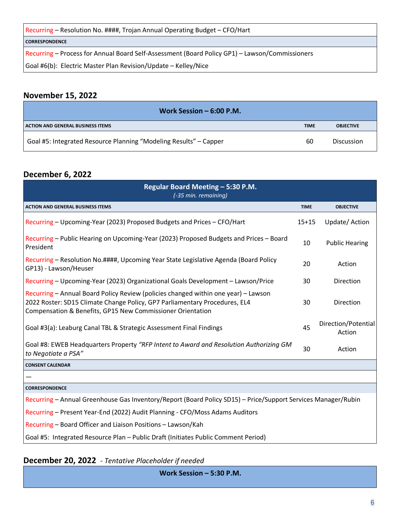Recurring – Resolution No. ####, Trojan Annual Operating Budget – CFO/Hart

#### **CORRESPONDENCE**

Recurring – Process for Annual Board Self-Assessment (Board Policy GP1) – Lawson/Commissioners

Goal #6(b): Electric Master Plan Revision/Update – Kelley/Nice

#### **November 15, 2022**

| Work Session $-6:00$ P.M.                                         |             |                   |
|-------------------------------------------------------------------|-------------|-------------------|
| <b>ACTION AND GENERAL BUSINESS ITEMS</b>                          | <b>TIME</b> | <b>OBJECTIVE</b>  |
| Goal #5: Integrated Resource Planning "Modeling Results" – Capper | 60          | <b>Discussion</b> |

### **December 6, 2022**

| Regular Board Meeting - 5:30 P.M.<br>(-35 min. remaining)                                                                                                                                                                      |             |                               |
|--------------------------------------------------------------------------------------------------------------------------------------------------------------------------------------------------------------------------------|-------------|-------------------------------|
| <b>ACTION AND GENERAL BUSINESS ITEMS</b>                                                                                                                                                                                       | <b>TIME</b> | <b>OBJECTIVE</b>              |
| Recurring – Upcoming-Year (2023) Proposed Budgets and Prices – CFO/Hart                                                                                                                                                        | $15+15$     | Update/Action                 |
| Recurring - Public Hearing on Upcoming-Year (2023) Proposed Budgets and Prices - Board<br>President                                                                                                                            | 10          | <b>Public Hearing</b>         |
| Recurring - Resolution No.####, Upcoming Year State Legislative Agenda (Board Policy<br>GP13) - Lawson/Heuser                                                                                                                  | 20          | Action                        |
| Recurring - Upcoming-Year (2023) Organizational Goals Development - Lawson/Price                                                                                                                                               | 30          | Direction                     |
| Recurring - Annual Board Policy Review (policies changed within one year) - Lawson<br>2022 Roster: SD15 Climate Change Policy, GP7 Parliamentary Procedures, EL4<br>Compensation & Benefits, GP15 New Commissioner Orientation | 30          | Direction                     |
| Goal #3(a): Leaburg Canal TBL & Strategic Assessment Final Findings                                                                                                                                                            | 45          | Direction/Potential<br>Action |
| Goal #8: EWEB Headquarters Property "RFP Intent to Award and Resolution Authorizing GM<br>to Negotiate a PSA"                                                                                                                  | 30          | Action                        |
| <b>CONSENT CALENDAR</b>                                                                                                                                                                                                        |             |                               |
|                                                                                                                                                                                                                                |             |                               |
| <b>CORRESPONDENCE</b>                                                                                                                                                                                                          |             |                               |
| Recurring - Annual Greenhouse Gas Inventory/Report (Board Policy SD15) - Price/Support Services Manager/Rubin                                                                                                                  |             |                               |
| Recurring - Present Year-End (2022) Audit Planning - CFO/Moss Adams Auditors                                                                                                                                                   |             |                               |
| Recurring - Board Officer and Liaison Positions - Lawson/Kah                                                                                                                                                                   |             |                               |
| Goal #5: Integrated Resource Plan - Public Draft (Initiates Public Comment Period)                                                                                                                                             |             |                               |

#### **December 20, 2022** *- Tentative Placeholder if needed*

**Work Session – 5:30 P.M.**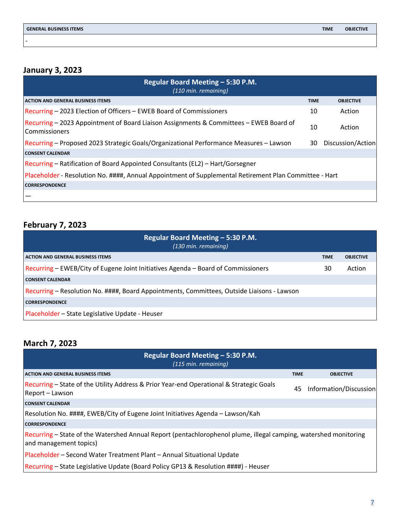-

## **January 3, 2023**

| Regular Board Meeting - 5:30 P.M.<br>(110 min. remaining)                                                      |             |                   |
|----------------------------------------------------------------------------------------------------------------|-------------|-------------------|
| <b>ACTION AND GENERAL BUSINESS ITEMS</b>                                                                       | <b>TIME</b> | <b>OBJECTIVE</b>  |
| Recurring – 2023 Election of Officers – EWEB Board of Commissioners                                            | 10          | Action            |
| Recurring - 2023 Appointment of Board Liaison Assignments & Committees - EWEB Board of<br><b>Commissioners</b> | 10          | Action            |
| Recurring - Proposed 2023 Strategic Goals/Organizational Performance Measures - Lawson                         | 30          | Discussion/Action |
| <b>CONSENT CALENDAR</b>                                                                                        |             |                   |
| Recurring – Ratification of Board Appointed Consultants (EL2) – Hart/Gorsegner                                 |             |                   |
| Placeholder - Resolution No. ####, Annual Appointment of Supplemental Retirement Plan Committee - Hart         |             |                   |
| <b>CORRESPONDENCE</b>                                                                                          |             |                   |
|                                                                                                                |             |                   |

## **February 7, 2023**

| Regular Board Meeting - 5:30 P.M.<br>(130 min. remaining)                                  |             |                  |
|--------------------------------------------------------------------------------------------|-------------|------------------|
| <b>ACTION AND GENERAL BUSINESS ITEMS</b>                                                   | <b>TIME</b> | <b>OBJECTIVE</b> |
| Recurring - EWEB/City of Eugene Joint Initiatives Agenda - Board of Commissioners          | 30          | Action           |
| <b>CONSENT CALENDAR</b>                                                                    |             |                  |
| Recurring – Resolution No. ####, Board Appointments, Committees, Outside Liaisons - Lawson |             |                  |
| <b>CORRESPONDENCE</b>                                                                      |             |                  |
| Placeholder - State Legislative Update - Heuser                                            |             |                  |

## **March 7, 2023**

| Regular Board Meeting - 5:30 P.M.<br>$(115 \text{ min. remaining})$                                                                        |             |                        |
|--------------------------------------------------------------------------------------------------------------------------------------------|-------------|------------------------|
| <b>ACTION AND GENERAL BUSINESS ITEMS</b>                                                                                                   | <b>TIME</b> | <b>OBJECTIVE</b>       |
| Recurring – State of the Utility Address & Prior Year-end Operational & Strategic Goals<br>Report - Lawson                                 | 45          | Information/Discussion |
| <b>CONSENT CALENDAR</b>                                                                                                                    |             |                        |
| Resolution No. ####, EWEB/City of Eugene Joint Initiatives Agenda - Lawson/Kah                                                             |             |                        |
| <b>CORRESPONDENCE</b>                                                                                                                      |             |                        |
| Recurring – State of the Watershed Annual Report (pentachlorophenol plume, illegal camping, watershed monitoring<br>and management topics) |             |                        |
| Placeholder – Second Water Treatment Plant – Annual Situational Update                                                                     |             |                        |
| Recurring – State Legislative Update (Board Policy GP13 & Resolution ####) - Heuser                                                        |             |                        |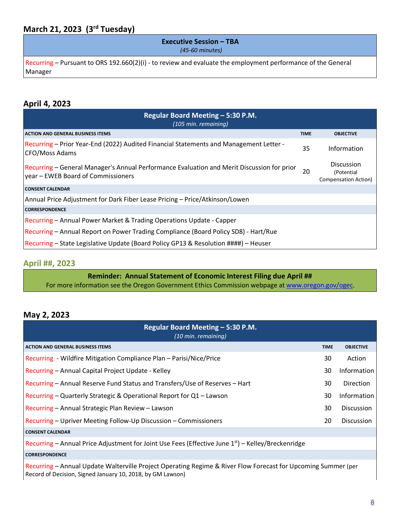### **March 21, 2023 (3rd Tuesday)**

# **Executive Session – TBA**

*(45-60 minutes)*

Recurring – Pursuant to ORS 192.660(2)(i) - to review and evaluate the employment performance of the General Manager

#### **April 4, 2023**

| Regular Board Meeting – 5:30 P.M.<br>(105 min. remaining)                                                                        |             |                                                         |  |
|----------------------------------------------------------------------------------------------------------------------------------|-------------|---------------------------------------------------------|--|
| <b>ACTION AND GENERAL BUSINESS ITEMS</b>                                                                                         | <b>TIME</b> | <b>OBJECTIVE</b>                                        |  |
| Recurring - Prior Year-End (2022) Audited Financial Statements and Management Letter -<br>CFO/Moss Adams                         | 35          | Information                                             |  |
| Recurring - General Manager's Annual Performance Evaluation and Merit Discussion for prior<br>year – EWEB Board of Commissioners | 20          | <b>Discussion</b><br>(Potential<br>Compensation Action) |  |
| <b>CONSENT CALENDAR</b>                                                                                                          |             |                                                         |  |
| Annual Price Adjustment for Dark Fiber Lease Pricing - Price/Atkinson/Lowen                                                      |             |                                                         |  |
| <b>CORRESPONDENCE</b>                                                                                                            |             |                                                         |  |
| Recurring – Annual Power Market & Trading Operations Update - Capper                                                             |             |                                                         |  |
| Recurring – Annual Report on Power Trading Compliance (Board Policy SD8) - Hart/Rue                                              |             |                                                         |  |
| Recurring – State Legislative Update (Board Policy GP13 & Resolution ####) – Heuser                                              |             |                                                         |  |

#### **April ##, 2023**

**Reminder: Annual Statement of Economic Interest Filing due April ##** For more information see the Oregon Government Ethics Commission webpage a[t www.oregon.gov/ogec.](file://ewebnetwork.net/data/team/Board/www.oregon.gov/ogec)

#### **May 2, 2023**

| Regular Board Meeting - 5:30 P.M.<br>(10 min. remaining)                                                       |             |                   |
|----------------------------------------------------------------------------------------------------------------|-------------|-------------------|
| <b>ACTION AND GENERAL BUSINESS ITEMS</b>                                                                       | <b>TIME</b> | <b>OBJECTIVE</b>  |
| Recurring - Wildfire Mitigation Compliance Plan - Parisi/Nice/Price                                            | 30          | Action            |
| Recurring - Annual Capital Project Update - Kelley                                                             | 30          | Information       |
| Recurring – Annual Reserve Fund Status and Transfers/Use of Reserves – Hart                                    | 30          | <b>Direction</b>  |
| Recurring – Quarterly Strategic & Operational Report for Q1 – Lawson                                           | 30          | Information       |
| Recurring - Annual Strategic Plan Review - Lawson                                                              | 30          | <b>Discussion</b> |
| Recurring – Upriver Meeting Follow-Up Discussion – Commissioners                                               | 20          | <b>Discussion</b> |
| <b>CONSENT CALENDAR</b>                                                                                        |             |                   |
| Recurring – Annual Price Adjustment for Joint Use Fees (Effective June $1st$ ) – Kelley/Breckenridge           |             |                   |
| <b>CORRESPONDENCE</b>                                                                                          |             |                   |
| Desimine Annual Hadets Walton ille Desiget Operation Designe Q. Diver Flow Fergeset for Hagensing Currented L. |             |                   |

Recurring – Annual Update Walterville Project Operating Regime & River Flow Forecast for Upcoming Summer (per Record of Decision, Signed January 10, 2018, by GM Lawson)